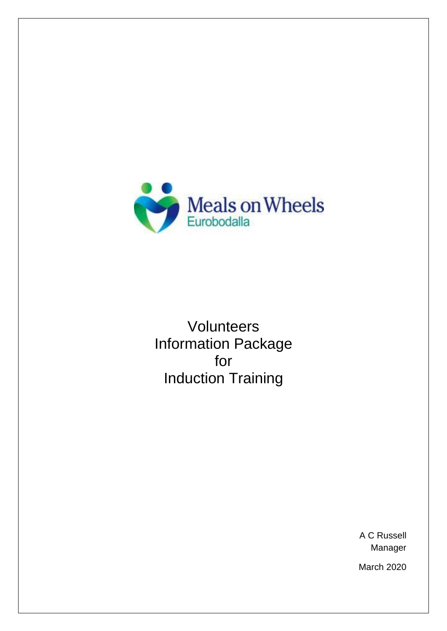

Volunteers Information Package for Induction Training

> A C Russell Manager

March 2020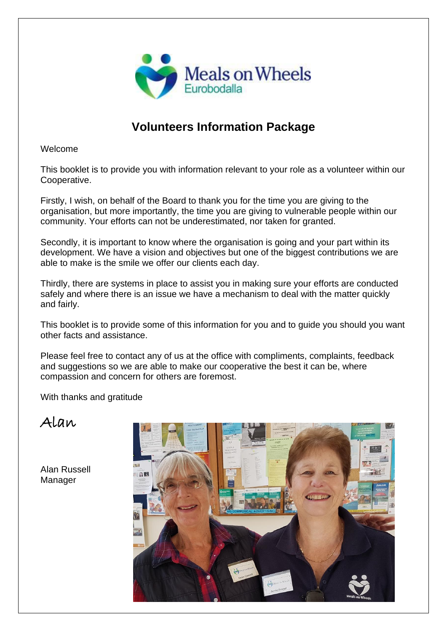

## **Volunteers Information Package**

Welcome

This booklet is to provide you with information relevant to your role as a volunteer within our Cooperative.

Firstly, I wish, on behalf of the Board to thank you for the time you are giving to the organisation, but more importantly, the time you are giving to vulnerable people within our community. Your efforts can not be underestimated, nor taken for granted.

Secondly, it is important to know where the organisation is going and your part within its development. We have a vision and objectives but one of the biggest contributions we are able to make is the smile we offer our clients each day.

Thirdly, there are systems in place to assist you in making sure your efforts are conducted safely and where there is an issue we have a mechanism to deal with the matter quickly and fairly.

This booklet is to provide some of this information for you and to guide you should you want other facts and assistance.

Please feel free to contact any of us at the office with compliments, complaints, feedback and suggestions so we are able to make our cooperative the best it can be, where compassion and concern for others are foremost.

With thanks and gratitude

Alan

Alan Russell Manager

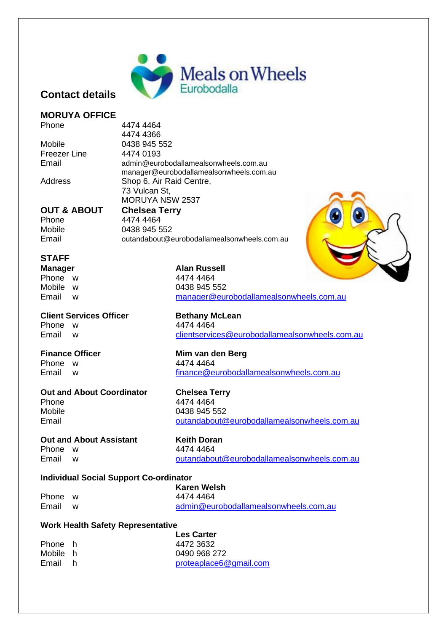

#### **Contact details**

#### **MORUYA OFFICE**

Phone 4474 4464

Freezer Line 4474 0193

4474 4366 Mobile 0438 945 552 Email admin@eurobodallamealsonwheels.com.au manager@eurobodallamealsonwheels.com.au Address Shop 6, Air Raid Centre, 73 Vulcan St, MORUYA NSW 2537

#### **OUT & ABOUT Chelsea Terry** Phone 4474 4464 Mobile 0438 945 552

Email outandabout@eurobodallamealsonwheels.com.au

#### **STAFF**

Phone w 4474 4464

#### **Client Services Officer <b>Bethany McLean** Phone w 4474 4464

# **Out and About Coordinator Chelsea Terry** Phone 4474 4464<br>Mobile 0438 945 5

#### **Out and About Assistant Keith Doran**

Phone w 4474 4464 Email w [outandabout@eurobodallamealsonwheels.com.au](mailto:outandabout@eurobodallamealsonwheels.com.au)

#### **Individual Social Support Co-ordinator**

|         | Karen Welsh |                                       |
|---------|-------------|---------------------------------------|
| Phone w |             | 4474 4464                             |
| Email   | W           | admin@eurobodallamealsonwheels.com.au |

#### **Work Health Safety Representative**

|          | <b>Les Carter</b>      |
|----------|------------------------|
| Phone h  | 4472 3632              |
| Mobile h | 0490 968 272           |
| Email h  | proteaplace6@gmail.com |

**Manager Alan Russell** Mobile w 0438 945 552 Email w [manager@eurobodallamealsonwheels.com.au](mailto:manager@eurobodallamealsonwheels.com.au)

Email w [clientservices@eurobodallamealsonwheels.com.au](mailto:clientservices@eurobodallamealsonwheels.com.au)

**Finance Officer Mim van den Berg** Phone w 4474 4464 Email w [finance@eurobodallamealsonwheels.com.au](mailto:finance@eurobodallamealsonwheels.com.au)

0438 945 552 Email [outandabout@eurobodallamealsonwheels.com.au](mailto:outandabout@eurobodallamealsonwheels.com.au)

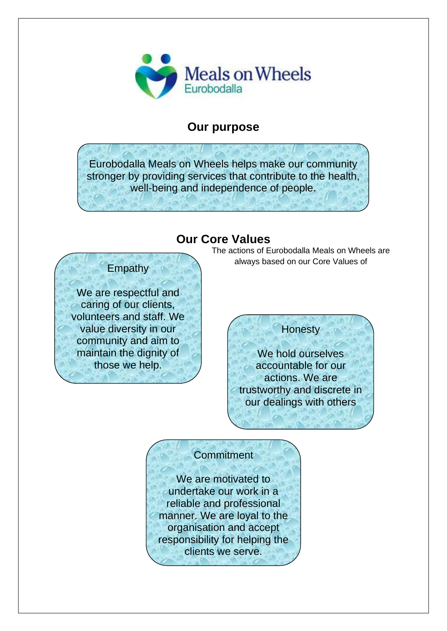

## **Our purpose**

Eurobodalla Meals on Wheels helps make our community stronger by providing services that contribute to the health, well-being and independence of people.

## **Our Core Values**

## **Empathy**

We are respectful and caring of our clients, volunteers and staff. We value diversity in our community and aim to maintain the dignity of those we help.

#### The actions of Eurobodalla Meals on Wheels are always based on our Core Values of

## **Honesty**

We hold ourselves accountable for our actions. We are trustworthy and discrete in our dealings with others

## **Commitment**

We are motivated to undertake our work in a reliable and professional manner. We are loyal to the organisation and accept responsibility for helping the clients we serve.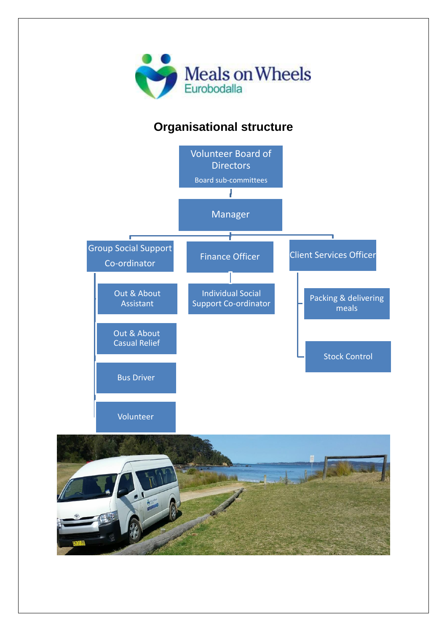

# **Organisational structure**



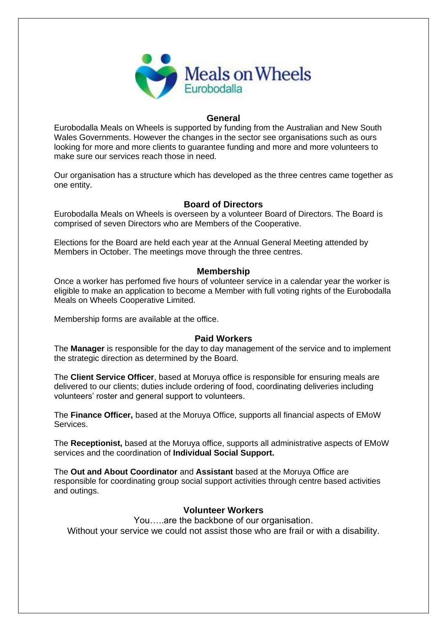

#### **General**

Eurobodalla Meals on Wheels is supported by funding from the Australian and New South Wales Governments. However the changes in the sector see organisations such as ours looking for more and more clients to guarantee funding and more and more volunteers to make sure our services reach those in need.

Our organisation has a structure which has developed as the three centres came together as one entity.

#### **Board of Directors**

Eurobodalla Meals on Wheels is overseen by a volunteer Board of Directors. The Board is comprised of seven Directors who are Members of the Cooperative.

Elections for the Board are held each year at the Annual General Meeting attended by Members in October. The meetings move through the three centres.

#### **Membership**

Once a worker has perfomed five hours of volunteer service in a calendar year the worker is eligible to make an application to become a Member with full voting rights of the Eurobodalla Meals on Wheels Cooperative Limited.

Membership forms are available at the office.

#### **Paid Workers**

The **Manager** is responsible for the day to day management of the service and to implement the strategic direction as determined by the Board.

The **Client Service Officer**, based at Moruya office is responsible for ensuring meals are delivered to our clients; duties include ordering of food, coordinating deliveries including volunteers' roster and general support to volunteers.

The **Finance Officer,** based at the Moruya Office, supports all financial aspects of EMoW Services.

The **Receptionist,** based at the Moruya office, supports all administrative aspects of EMoW services and the coordination of **Individual Social Support.**

The **Out and About Coordinator** and **Assistant** based at the Moruya Office are responsible for coordinating group social support activities through centre based activities and outings.

#### **Volunteer Workers**

You…..are the backbone of our organisation. Without your service we could not assist those who are frail or with a disability.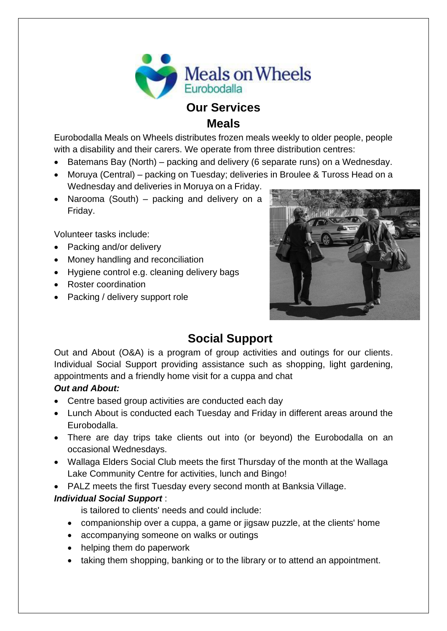

**Meals**

Eurobodalla Meals on Wheels distributes frozen meals weekly to older people, people with a disability and their carers. We operate from three distribution centres:

- Batemans Bay (North) packing and delivery (6 separate runs) on a Wednesday.
- Moruya (Central) packing on Tuesday; deliveries in Broulee & Tuross Head on a Wednesday and deliveries in Moruya on a Friday.
- Narooma (South) packing and delivery on a Friday.

Volunteer tasks include:

- Packing and/or delivery
- Money handling and reconciliation
- Hygiene control e.g. cleaning delivery bags
- Roster coordination
- Packing / delivery support role



# **Social Support**

Out and About (O&A) is a program of group activities and outings for our clients. Individual Social Support providing assistance such as shopping, light gardening, appointments and a friendly home visit for a cuppa and chat

#### *Out and About:*

- Centre based group activities are conducted each day
- Lunch About is conducted each Tuesday and Friday in different areas around the Eurobodalla.
- There are day trips take clients out into (or beyond) the Eurobodalla on an occasional Wednesdays.
- Wallaga Elders Social Club meets the first Thursday of the month at the Wallaga Lake Community Centre for activities, lunch and Bingo!
- PALZ meets the first Tuesday every second month at Banksia Village.

#### *Individual Social Support* :

is tailored to clients' needs and could include:

- companionship over a cuppa, a game or jigsaw puzzle, at the clients' home
- accompanying someone on walks or outings
- helping them do paperwork
- taking them shopping, banking or to the library or to attend an appointment.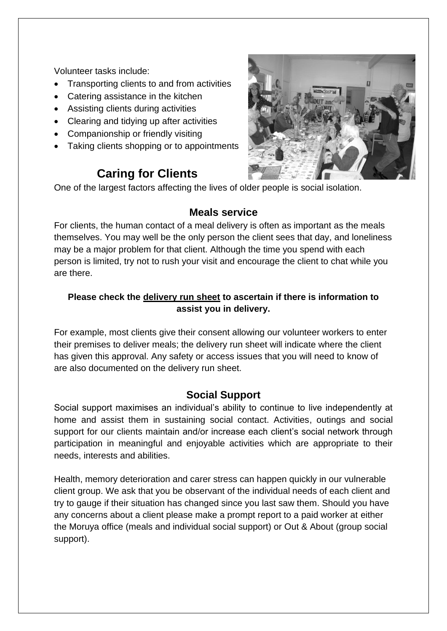Volunteer tasks include:

- Transporting clients to and from activities
- Catering assistance in the kitchen
- Assisting clients during activities
- Clearing and tidying up after activities
- Companionship or friendly visiting
- Taking clients shopping or to appointments

# **Caring for Clients**

One of the largest factors affecting the lives of older people is social isolation.

#### **Meals service**

For clients, the human contact of a meal delivery is often as important as the meals themselves. You may well be the only person the client sees that day, and loneliness may be a major problem for that client. Although the time you spend with each person is limited, try not to rush your visit and encourage the client to chat while you are there.

#### **Please check the delivery run sheet to ascertain if there is information to assist you in delivery.**

For example, most clients give their consent allowing our volunteer workers to enter their premises to deliver meals; the delivery run sheet will indicate where the client has given this approval. Any safety or access issues that you will need to know of are also documented on the delivery run sheet.

## **Social Support**

Social support maximises an individual's ability to continue to live independently at home and assist them in sustaining social contact. Activities, outings and social support for our clients maintain and/or increase each client's social network through participation in meaningful and enjoyable activities which are appropriate to their needs, interests and abilities.

Health, memory deterioration and carer stress can happen quickly in our vulnerable client group. We ask that you be observant of the individual needs of each client and try to gauge if their situation has changed since you last saw them. Should you have any concerns about a client please make a prompt report to a paid worker at either the Moruya office (meals and individual social support) or Out & About (group social support).

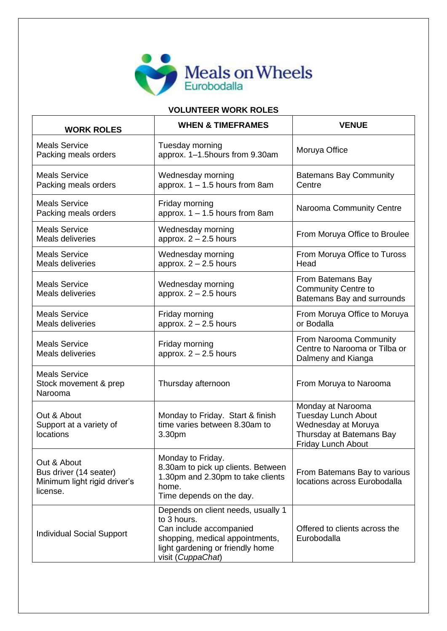

#### **VOLUNTEER WORK ROLES**

| <b>WORK ROLES</b>                                                                 | <b>WHEN &amp; TIMEFRAMES</b>                                                                                                                                             | <b>VENUE</b>                                                                                                             |
|-----------------------------------------------------------------------------------|--------------------------------------------------------------------------------------------------------------------------------------------------------------------------|--------------------------------------------------------------------------------------------------------------------------|
| <b>Meals Service</b><br>Packing meals orders                                      | Tuesday morning<br>approx. 1-1.5hours from 9.30am                                                                                                                        | Moruya Office                                                                                                            |
| <b>Meals Service</b><br>Packing meals orders                                      | Wednesday morning<br>approx. $1 - 1.5$ hours from 8am                                                                                                                    | <b>Batemans Bay Community</b><br>Centre                                                                                  |
| <b>Meals Service</b><br>Packing meals orders                                      | Friday morning<br>approx. $1 - 1.5$ hours from 8am                                                                                                                       | Narooma Community Centre                                                                                                 |
| <b>Meals Service</b><br>Meals deliveries                                          | Wednesday morning<br>approx. $2 - 2.5$ hours                                                                                                                             | From Moruya Office to Broulee                                                                                            |
| <b>Meals Service</b><br><b>Meals deliveries</b>                                   | Wednesday morning<br>approx. $2 - 2.5$ hours                                                                                                                             | From Moruya Office to Tuross<br>Head                                                                                     |
| <b>Meals Service</b><br>Meals deliveries                                          | Wednesday morning<br>approx. $2 - 2.5$ hours                                                                                                                             | From Batemans Bay<br><b>Community Centre to</b><br>Batemans Bay and surrounds                                            |
| <b>Meals Service</b><br>Meals deliveries                                          | Friday morning<br>approx. $2 - 2.5$ hours                                                                                                                                | From Moruya Office to Moruya<br>or Bodalla                                                                               |
| <b>Meals Service</b><br>Meals deliveries                                          | Friday morning<br>approx. $2 - 2.5$ hours                                                                                                                                | From Narooma Community<br>Centre to Narooma or Tilba or<br>Dalmeny and Kianga                                            |
| <b>Meals Service</b><br>Stock movement & prep<br>Narooma                          | Thursday afternoon                                                                                                                                                       | From Moruya to Narooma                                                                                                   |
| Out & About<br>Support at a variety of<br>locations                               | Monday to Friday. Start & finish<br>time varies between 8.30am to<br>3.30pm                                                                                              | Monday at Narooma<br><b>Tuesday Lunch About</b><br>Wednesday at Moruya<br>Thursday at Batemans Bay<br>Friday Lunch About |
| Out & About<br>Bus driver (14 seater)<br>Minimum light rigid driver's<br>license. | Monday to Friday.<br>8.30am to pick up clients. Between<br>1.30pm and 2.30pm to take clients<br>home.<br>Time depends on the day.                                        | From Batemans Bay to various<br>locations across Eurobodalla                                                             |
| <b>Individual Social Support</b>                                                  | Depends on client needs, usually 1<br>to 3 hours.<br>Can include accompanied<br>shopping, medical appointments,<br>light gardening or friendly home<br>visit (CuppaChat) | Offered to clients across the<br>Eurobodalla                                                                             |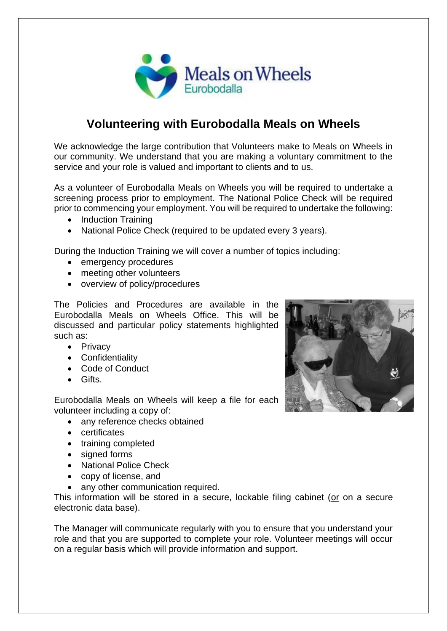

## **Volunteering with Eurobodalla Meals on Wheels**

We acknowledge the large contribution that Volunteers make to Meals on Wheels in our community. We understand that you are making a voluntary commitment to the service and your role is valued and important to clients and to us.

As a volunteer of Eurobodalla Meals on Wheels you will be required to undertake a screening process prior to employment. The National Police Check will be required prior to commencing your employment. You will be required to undertake the following:

- Induction Training
- National Police Check (required to be updated every 3 years).

During the Induction Training we will cover a number of topics including:

- emergency procedures
- meeting other volunteers
- overview of policy/procedures

The Policies and Procedures are available in the Eurobodalla Meals on Wheels Office. This will be discussed and particular policy statements highlighted such as:

- Privacy
- Confidentiality
- Code of Conduct
- Gifts.

Eurobodalla Meals on Wheels will keep a file for each volunteer including a copy of:

- any reference checks obtained
- certificates
- training completed
- signed forms
- National Police Check
- copy of license, and
- any other communication required.

This information will be stored in a secure, lockable filing cabinet (or on a secure electronic data base).

The Manager will communicate regularly with you to ensure that you understand your role and that you are supported to complete your role. Volunteer meetings will occur on a regular basis which will provide information and support.

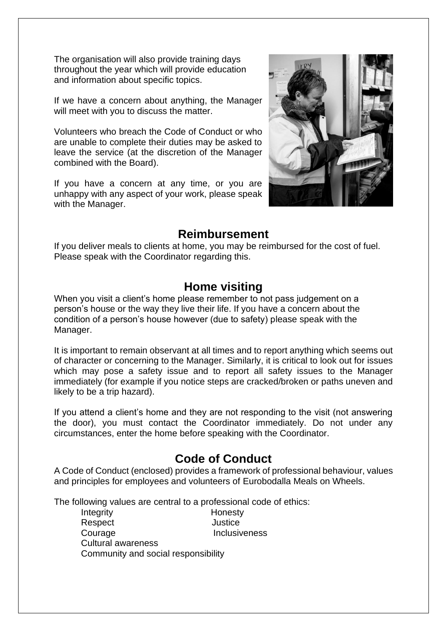The organisation will also provide training days throughout the year which will provide education and information about specific topics.

If we have a concern about anything, the Manager will meet with you to discuss the matter.

Volunteers who breach the Code of Conduct or who are unable to complete their duties may be asked to leave the service (at the discretion of the Manager combined with the Board).

If you have a concern at any time, or you are unhappy with any aspect of your work, please speak with the Manager.



## **Reimbursement**

If you deliver meals to clients at home, you may be reimbursed for the cost of fuel. Please speak with the Coordinator regarding this.

## **Home visiting**

When you visit a client's home please remember to not pass judgement on a person's house or the way they live their life. If you have a concern about the condition of a person's house however (due to safety) please speak with the Manager.

It is important to remain observant at all times and to report anything which seems out of character or concerning to the Manager. Similarly, it is critical to look out for issues which may pose a safety issue and to report all safety issues to the Manager immediately (for example if you notice steps are cracked/broken or paths uneven and likely to be a trip hazard).

If you attend a client's home and they are not responding to the visit (not answering the door), you must contact the Coordinator immediately. Do not under any circumstances, enter the home before speaking with the Coordinator.

## **Code of Conduct**

A Code of Conduct (enclosed) provides a framework of professional behaviour, values and principles for employees and volunteers of Eurobodalla Meals on Wheels.

The following values are central to a professional code of ethics:

Integrity **Honesty** Respect Justice Courage **Inclusiveness** Cultural awareness Community and social responsibility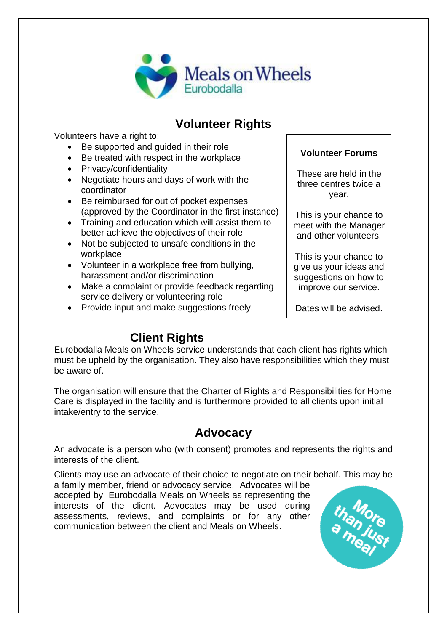

## **Volunteer Rights**

Volunteers have a right to:

- Be supported and guided in their role
- Be treated with respect in the workplace
- Privacy/confidentiality
- Negotiate hours and days of work with the coordinator
- Be reimbursed for out of pocket expenses (approved by the Coordinator in the first instance)
- Training and education which will assist them to better achieve the objectives of their role
- Not be subjected to unsafe conditions in the workplace
- Volunteer in a workplace free from bullying, harassment and/or discrimination
- Make a complaint or provide feedback regarding service delivery or volunteering role
- Provide input and make suggestions freely.

## **Volunteer Forums**

These are held in the three centres twice a year.

This is your chance to meet with the Manager and other volunteers.

This is your chance to give us your ideas and suggestions on how to improve our service.

Dates will be advised.

# **Client Rights**

Eurobodalla Meals on Wheels service understands that each client has rights which must be upheld by the organisation. They also have responsibilities which they must be aware of.

The organisation will ensure that the Charter of Rights and Responsibilities for Home Care is displayed in the facility and is furthermore provided to all clients upon initial intake/entry to the service.

# **Advocacy**

An advocate is a person who (with consent) promotes and represents the rights and interests of the client.

Clients may use an advocate of their choice to negotiate on their behalf. This may be

a family member, friend or advocacy service. Advocates will be accepted by Eurobodalla Meals on Wheels as representing the interests of the client. Advocates may be used during assessments, reviews, and complaints or for any other communication between the client and Meals on Wheels.

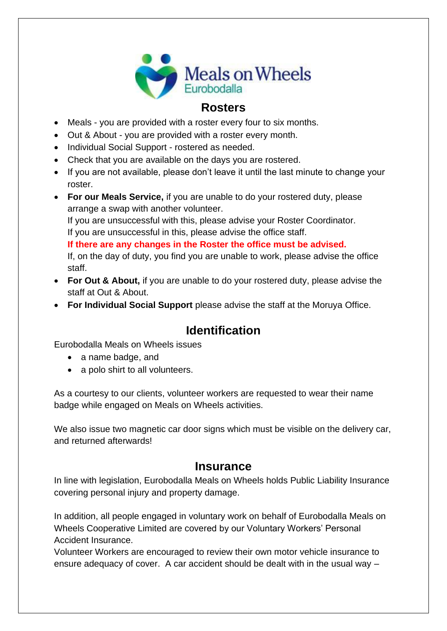

## **Rosters**

- Meals you are provided with a roster every four to six months.
- Out & About you are provided with a roster every month.
- Individual Social Support rostered as needed.
- Check that you are available on the days you are rostered.
- If you are not available, please don't leave it until the last minute to change your roster.
- **For our Meals Service,** if you are unable to do your rostered duty, please arrange a swap with another volunteer. If you are unsuccessful with this, please advise your Roster Coordinator. If you are unsuccessful in this, please advise the office staff. **If there are any changes in the Roster the office must be advised.** If, on the day of duty, you find you are unable to work, please advise the office staff.
- **For Out & About,** if you are unable to do your rostered duty, please advise the staff at Out & About.
- **For Individual Social Support** please advise the staff at the Moruya Office.

## **Identification**

Eurobodalla Meals on Wheels issues

- a name badge, and
- a polo shirt to all volunteers.

As a courtesy to our clients, volunteer workers are requested to wear their name badge while engaged on Meals on Wheels activities.

We also issue two magnetic car door signs which must be visible on the delivery car, and returned afterwards!

## **Insurance**

In line with legislation, Eurobodalla Meals on Wheels holds Public Liability Insurance covering personal injury and property damage.

In addition, all people engaged in voluntary work on behalf of Eurobodalla Meals on Wheels Cooperative Limited are covered by our Voluntary Workers' Personal Accident Insurance.

Volunteer Workers are encouraged to review their own motor vehicle insurance to ensure adequacy of cover. A car accident should be dealt with in the usual way –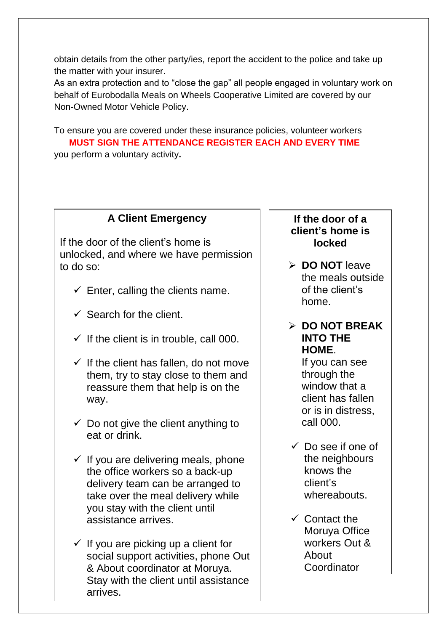obtain details from the other party/ies, report the accident to the police and take up the matter with your insurer.

As an extra protection and to "close the gap" all people engaged in voluntary work on behalf of Eurobodalla Meals on Wheels Cooperative Limited are covered by our Non-Owned Motor Vehicle Policy.

To ensure you are covered under these insurance policies, volunteer workers  **MUST SIGN THE ATTENDANCE REGISTER EACH AND EVERY TIME**  you perform a voluntary activity**.** 

## **A Client Emergency**

If the door of the client's home is unlocked, and where we have permission to do so:

- $\checkmark$  Enter, calling the clients name.
- $\checkmark$  Search for the client.
- $\checkmark$  If the client is in trouble, call 000.
- $\checkmark$  If the client has fallen, do not move them, try to stay close to them and reassure them that help is on the way.
- $\checkmark$  Do not give the client anything to eat or drink.
- $\checkmark$  If you are delivering meals, phone the office workers so a back-up delivery team can be arranged to take over the meal delivery while you stay with the client until assistance arrives.
- $\checkmark$  If you are picking up a client for social support activities, phone Out & About coordinator at Moruya. Stay with the client until assistance arrives.

## **If the door of a client's home is locked**

➢ **DO NOT** leave the meals outside of the client's home.

## ➢ **DO NOT BREAK INTO THE HOME**.

If you can see through the window that a client has fallen or is in distress, call 000.

- $\checkmark$  Do see if one of the neighbours knows the client's whereabouts.
- $\checkmark$  Contact the Moruya Office workers Out & About Coordinator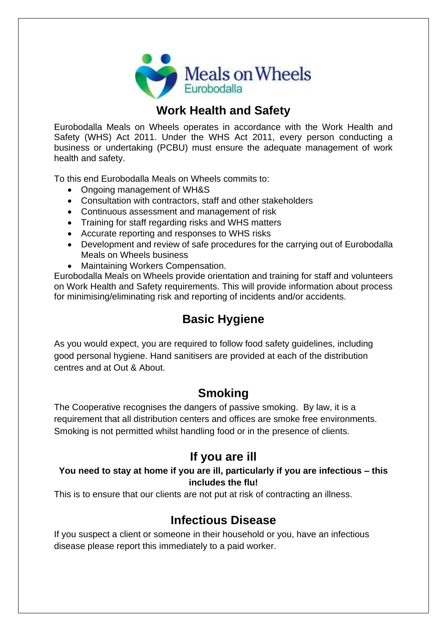

# **Work Health and Safety**

Eurobodalla Meals on Wheels operates in accordance with the Work Health and Safety (WHS) Act 2011. Under the WHS Act 2011, every person conducting a business or undertaking (PCBU) must ensure the adequate management of work health and safety.

To this end Eurobodalla Meals on Wheels commits to:

- Ongoing management of WH&S
- Consultation with contractors, staff and other stakeholders
- Continuous assessment and management of risk
- Training for staff regarding risks and WHS matters
- Accurate reporting and responses to WHS risks
- Development and review of safe procedures for the carrying out of Eurobodalla Meals on Wheels business
- Maintaining Workers Compensation.

Eurobodalla Meals on Wheels provide orientation and training for staff and volunteers on Work Health and Safety requirements. This will provide information about process for minimising/eliminating risk and reporting of incidents and/or accidents.

# **Basic Hygiene**

As you would expect, you are required to follow food safety guidelines, including good personal hygiene. Hand sanitisers are provided at each of the distribution centres and at Out & About.

# **Smoking**

The Cooperative recognises the dangers of passive smoking. By law, it is a requirement that all distribution centers and offices are smoke free environments. Smoking is not permitted whilst handling food or in the presence of clients.

## **If you are ill**

#### **You need to stay at home if you are ill, particularly if you are infectious – this includes the flu!**

This is to ensure that our clients are not put at risk of contracting an illness.

## **Infectious Disease**

If you suspect a client or someone in their household or you, have an infectious disease please report this immediately to a paid worker.